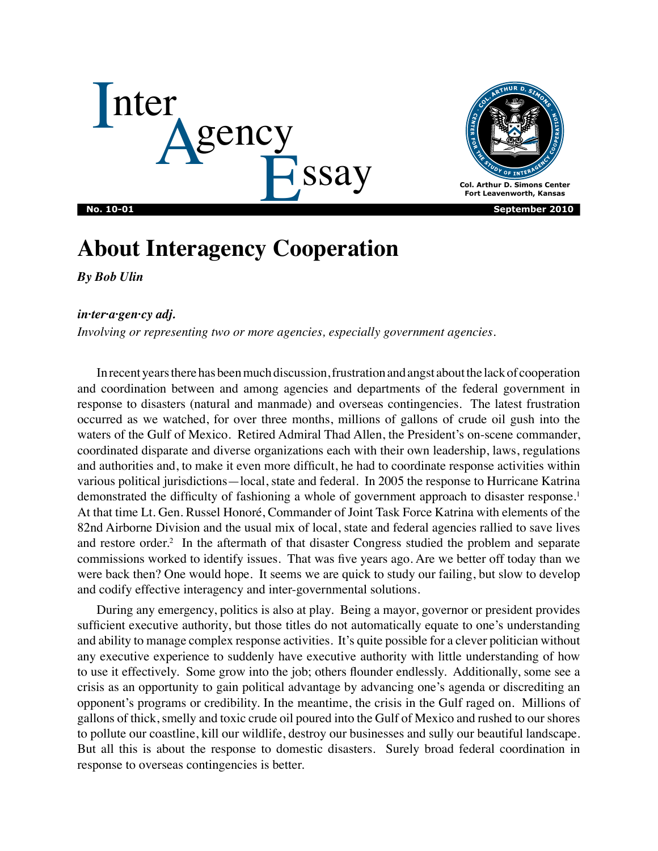



# **About Interagency Cooperation**

*By Bob Ulin*

# *in·ter·a·gen·cy adj.*

*Involving or representing two or more agencies, especially government agencies.*

In recent years there has been much discussion, frustration and angst about the lack of cooperation and coordination between and among agencies and departments of the federal government in response to disasters (natural and manmade) and overseas contingencies. The latest frustration occurred as we watched, for over three months, millions of gallons of crude oil gush into the waters of the Gulf of Mexico. Retired Admiral Thad Allen, the President's on-scene commander, coordinated disparate and diverse organizations each with their own leadership, laws, regulations and authorities and, to make it even more difficult, he had to coordinate response activities within various political jurisdictions—local, state and federal. In 2005 the response to Hurricane Katrina demonstrated the difficulty of fashioning a whole of government approach to disaster response.<sup>1</sup> At that time Lt. Gen. Russel Honoré, Commander of Joint Task Force Katrina with elements of the 82nd Airborne Division and the usual mix of local, state and federal agencies rallied to save lives and restore order.<sup>2</sup> In the aftermath of that disaster Congress studied the problem and separate commissions worked to identify issues. That was five years ago. Are we better off today than we were back then? One would hope. It seems we are quick to study our failing, but slow to develop and codify effective interagency and inter-governmental solutions.

During any emergency, politics is also at play. Being a mayor, governor or president provides sufficient executive authority, but those titles do not automatically equate to one's understanding and ability to manage complex response activities. It's quite possible for a clever politician without any executive experience to suddenly have executive authority with little understanding of how to use it effectively. Some grow into the job; others flounder endlessly. Additionally, some see a crisis as an opportunity to gain political advantage by advancing one's agenda or discrediting an opponent's programs or credibility. In the meantime, the crisis in the Gulf raged on. Millions of gallons of thick, smelly and toxic crude oil poured into the Gulf of Mexico and rushed to our shores to pollute our coastline, kill our wildlife, destroy our businesses and sully our beautiful landscape. But all this is about the response to domestic disasters. Surely broad federal coordination in response to overseas contingencies is better.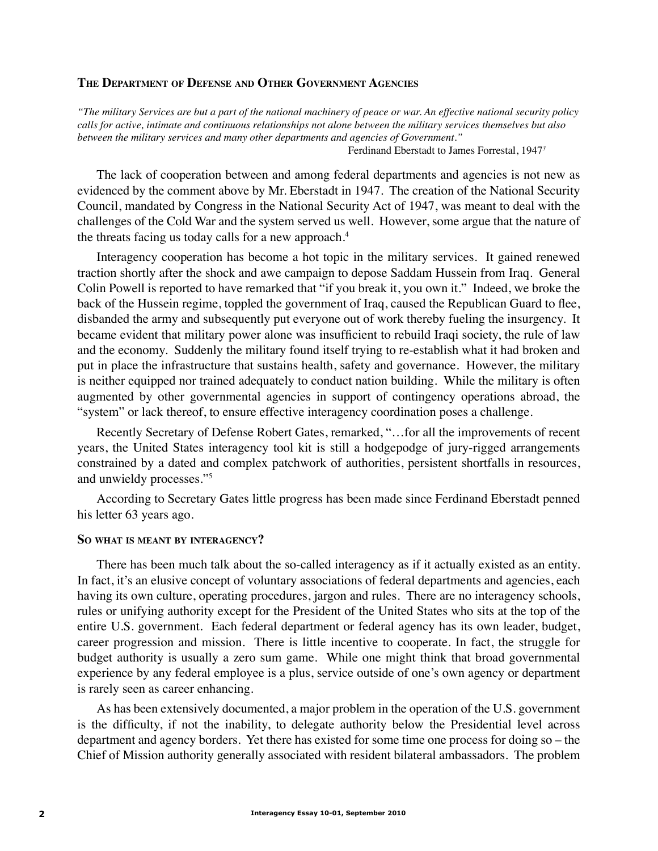### **The Department of Defense and Other Government Agencies**

*"The military Services are but a part of the national machinery of peace or war. An effective national security policy calls for active, intimate and continuous relationships not alone between the military services themselves but also between the military services and many other departments and agencies of Government."*

Ferdinand Eberstadt to James Forrestal, 1947*<sup>3</sup>*

The lack of cooperation between and among federal departments and agencies is not new as evidenced by the comment above by Mr. Eberstadt in 1947. The creation of the National Security Council, mandated by Congress in the National Security Act of 1947, was meant to deal with the challenges of the Cold War and the system served us well. However, some argue that the nature of the threats facing us today calls for a new approach.4

Interagency cooperation has become a hot topic in the military services. It gained renewed traction shortly after the shock and awe campaign to depose Saddam Hussein from Iraq. General Colin Powell is reported to have remarked that "if you break it, you own it." Indeed, we broke the back of the Hussein regime, toppled the government of Iraq, caused the Republican Guard to flee, disbanded the army and subsequently put everyone out of work thereby fueling the insurgency. It became evident that military power alone was insufficient to rebuild Iraqi society, the rule of law and the economy. Suddenly the military found itself trying to re-establish what it had broken and put in place the infrastructure that sustains health, safety and governance. However, the military is neither equipped nor trained adequately to conduct nation building. While the military is often augmented by other governmental agencies in support of contingency operations abroad, the "system" or lack thereof, to ensure effective interagency coordination poses a challenge.

Recently Secretary of Defense Robert Gates, remarked, "…for all the improvements of recent years, the United States interagency tool kit is still a hodgepodge of jury-rigged arrangements constrained by a dated and complex patchwork of authorities, persistent shortfalls in resources, and unwieldy processes."5

According to Secretary Gates little progress has been made since Ferdinand Eberstadt penned his letter 63 years ago.

#### **So what is meant by interagency?**

There has been much talk about the so-called interagency as if it actually existed as an entity. In fact, it's an elusive concept of voluntary associations of federal departments and agencies, each having its own culture, operating procedures, jargon and rules. There are no interagency schools, rules or unifying authority except for the President of the United States who sits at the top of the entire U.S. government. Each federal department or federal agency has its own leader, budget, career progression and mission. There is little incentive to cooperate. In fact, the struggle for budget authority is usually a zero sum game. While one might think that broad governmental experience by any federal employee is a plus, service outside of one's own agency or department is rarely seen as career enhancing.

As has been extensively documented, a major problem in the operation of the U.S. government is the difficulty, if not the inability, to delegate authority below the Presidential level across department and agency borders. Yet there has existed for some time one process for doing so – the Chief of Mission authority generally associated with resident bilateral ambassadors. The problem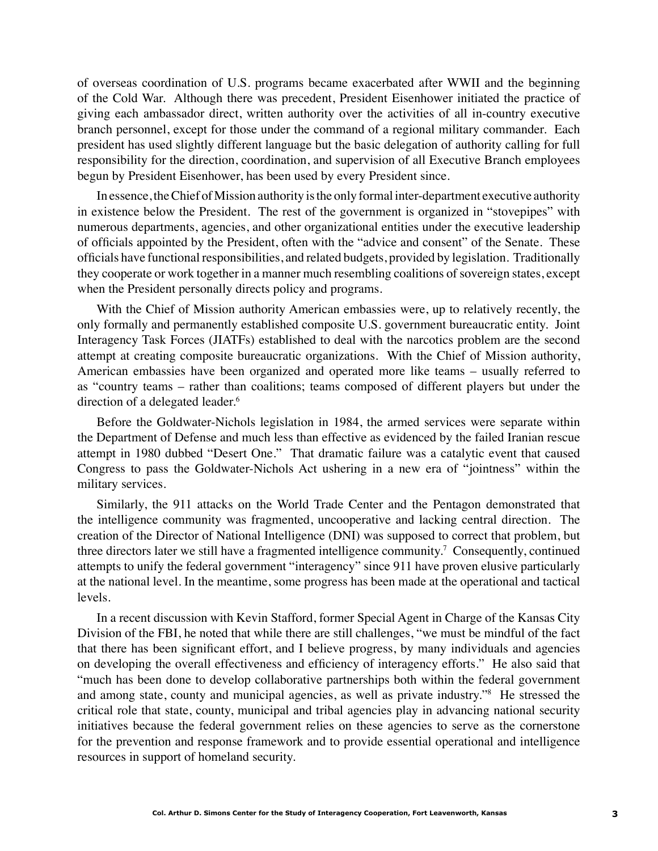of overseas coordination of U.S. programs became exacerbated after WWII and the beginning of the Cold War. Although there was precedent, President Eisenhower initiated the practice of giving each ambassador direct, written authority over the activities of all in-country executive branch personnel, except for those under the command of a regional military commander. Each president has used slightly different language but the basic delegation of authority calling for full responsibility for the direction, coordination, and supervision of all Executive Branch employees begun by President Eisenhower, has been used by every President since.

In essence, the Chief of Mission authority is the only formal inter-department executive authority in existence below the President. The rest of the government is organized in "stovepipes" with numerous departments, agencies, and other organizational entities under the executive leadership of officials appointed by the President, often with the "advice and consent" of the Senate. These officials have functional responsibilities, and related budgets, provided by legislation. Traditionally they cooperate or work together in a manner much resembling coalitions of sovereign states, except when the President personally directs policy and programs.

With the Chief of Mission authority American embassies were, up to relatively recently, the only formally and permanently established composite U.S. government bureaucratic entity. Joint Interagency Task Forces (JIATFs) established to deal with the narcotics problem are the second attempt at creating composite bureaucratic organizations. With the Chief of Mission authority, American embassies have been organized and operated more like teams – usually referred to as "country teams – rather than coalitions; teams composed of different players but under the direction of a delegated leader.<sup>6</sup>

Before the Goldwater-Nichols legislation in 1984, the armed services were separate within the Department of Defense and much less than effective as evidenced by the failed Iranian rescue attempt in 1980 dubbed "Desert One." That dramatic failure was a catalytic event that caused Congress to pass the Goldwater-Nichols Act ushering in a new era of "jointness" within the military services.

Similarly, the 911 attacks on the World Trade Center and the Pentagon demonstrated that the intelligence community was fragmented, uncooperative and lacking central direction. The creation of the Director of National Intelligence (DNI) was supposed to correct that problem, but three directors later we still have a fragmented intelligence community.<sup>7</sup> Consequently, continued attempts to unify the federal government "interagency" since 911 have proven elusive particularly at the national level. In the meantime, some progress has been made at the operational and tactical levels.

In a recent discussion with Kevin Stafford, former Special Agent in Charge of the Kansas City Division of the FBI, he noted that while there are still challenges, "we must be mindful of the fact that there has been significant effort, and I believe progress, by many individuals and agencies on developing the overall effectiveness and efficiency of interagency efforts." He also said that "much has been done to develop collaborative partnerships both within the federal government and among state, county and municipal agencies, as well as private industry."8 He stressed the critical role that state, county, municipal and tribal agencies play in advancing national security initiatives because the federal government relies on these agencies to serve as the cornerstone for the prevention and response framework and to provide essential operational and intelligence resources in support of homeland security.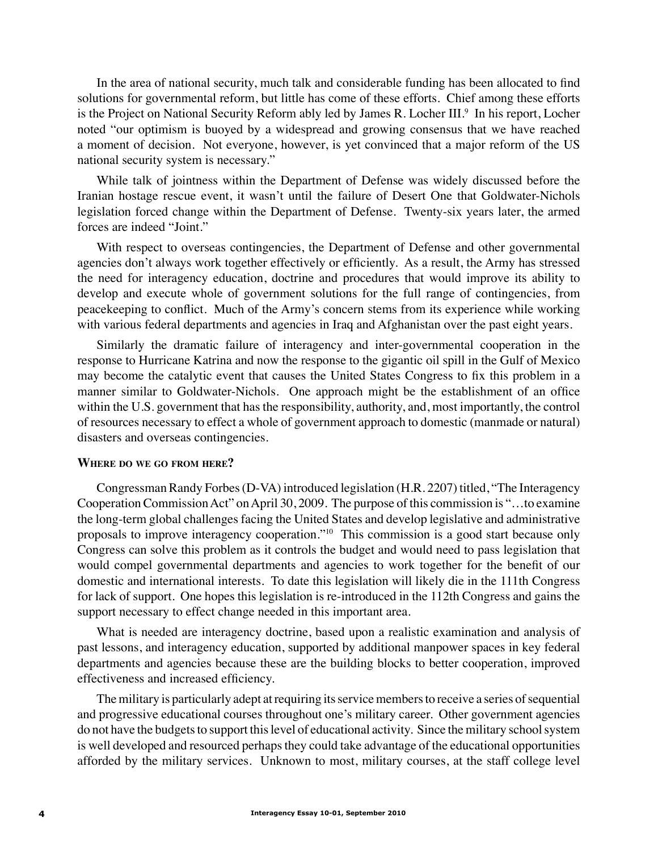In the area of national security, much talk and considerable funding has been allocated to find solutions for governmental reform, but little has come of these efforts. Chief among these efforts is the Project on National Security Reform ably led by James R. Locher III.<sup>9</sup> In his report, Locher noted "our optimism is buoyed by a widespread and growing consensus that we have reached a moment of decision. Not everyone, however, is yet convinced that a major reform of the US national security system is necessary."

While talk of jointness within the Department of Defense was widely discussed before the Iranian hostage rescue event, it wasn't until the failure of Desert One that Goldwater-Nichols legislation forced change within the Department of Defense. Twenty-six years later, the armed forces are indeed "Joint."

With respect to overseas contingencies, the Department of Defense and other governmental agencies don't always work together effectively or efficiently. As a result, the Army has stressed the need for interagency education, doctrine and procedures that would improve its ability to develop and execute whole of government solutions for the full range of contingencies, from peacekeeping to conflict. Much of the Army's concern stems from its experience while working with various federal departments and agencies in Iraq and Afghanistan over the past eight years.

Similarly the dramatic failure of interagency and inter-governmental cooperation in the response to Hurricane Katrina and now the response to the gigantic oil spill in the Gulf of Mexico may become the catalytic event that causes the United States Congress to fix this problem in a manner similar to Goldwater-Nichols. One approach might be the establishment of an office within the U.S. government that has the responsibility, authority, and, most importantly, the control of resources necessary to effect a whole of government approach to domestic (manmade or natural) disasters and overseas contingencies.

#### **Where do we go from here?**

Congressman Randy Forbes (D-VA) introduced legislation (H.R. 2207) titled, "The Interagency Cooperation Commission Act" on April 30, 2009. The purpose of this commission is "…to examine the long-term global challenges facing the United States and develop legislative and administrative proposals to improve interagency cooperation."10 This commission is a good start because only Congress can solve this problem as it controls the budget and would need to pass legislation that would compel governmental departments and agencies to work together for the benefit of our domestic and international interests. To date this legislation will likely die in the 111th Congress for lack of support. One hopes this legislation is re-introduced in the 112th Congress and gains the support necessary to effect change needed in this important area.

What is needed are interagency doctrine, based upon a realistic examination and analysis of past lessons, and interagency education, supported by additional manpower spaces in key federal departments and agencies because these are the building blocks to better cooperation, improved effectiveness and increased efficiency.

The military is particularly adept at requiring its service members to receive a series of sequential and progressive educational courses throughout one's military career. Other government agencies do not have the budgets to support this level of educational activity. Since the military school system is well developed and resourced perhaps they could take advantage of the educational opportunities afforded by the military services. Unknown to most, military courses, at the staff college level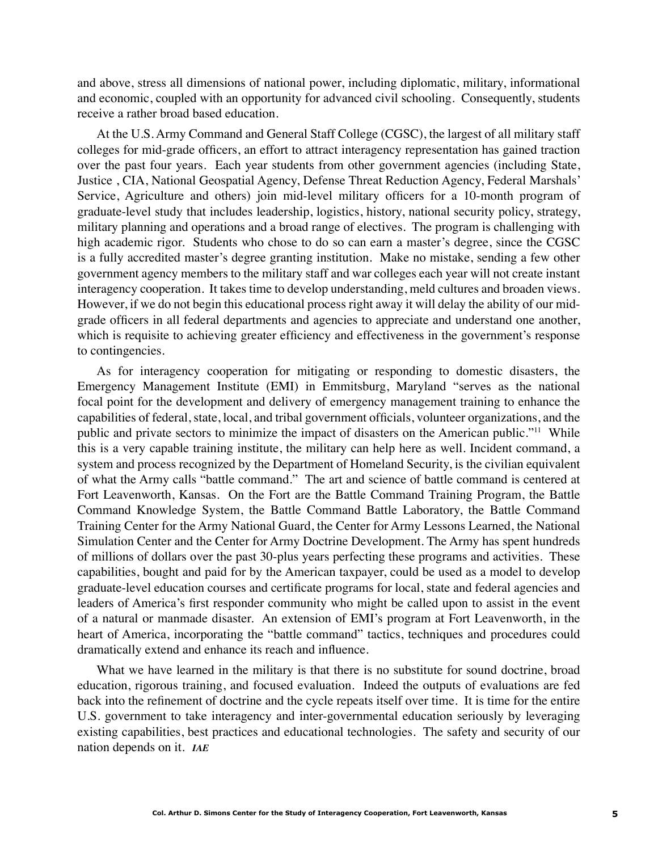and above, stress all dimensions of national power, including diplomatic, military, informational and economic, coupled with an opportunity for advanced civil schooling. Consequently, students receive a rather broad based education.

At the U.S. Army Command and General Staff College (CGSC), the largest of all military staff colleges for mid-grade officers, an effort to attract interagency representation has gained traction over the past four years. Each year students from other government agencies (including State, Justice , CIA, National Geospatial Agency, Defense Threat Reduction Agency, Federal Marshals' Service, Agriculture and others) join mid-level military officers for a 10-month program of graduate-level study that includes leadership, logistics, history, national security policy, strategy, military planning and operations and a broad range of electives. The program is challenging with high academic rigor. Students who chose to do so can earn a master's degree, since the CGSC is a fully accredited master's degree granting institution. Make no mistake, sending a few other government agency members to the military staff and war colleges each year will not create instant interagency cooperation. It takes time to develop understanding, meld cultures and broaden views. However, if we do not begin this educational process right away it will delay the ability of our midgrade officers in all federal departments and agencies to appreciate and understand one another, which is requisite to achieving greater efficiency and effectiveness in the government's response to contingencies.

As for interagency cooperation for mitigating or responding to domestic disasters, the Emergency Management Institute (EMI) in Emmitsburg, Maryland "serves as the national focal point for the development and delivery of emergency management training to enhance the capabilities of federal, state, local, and tribal government officials, volunteer organizations, and the public and private sectors to minimize the impact of disasters on the American public."11 While this is a very capable training institute, the military can help here as well. Incident command, a system and process recognized by the Department of Homeland Security, is the civilian equivalent of what the Army calls "battle command." The art and science of battle command is centered at Fort Leavenworth, Kansas. On the Fort are the Battle Command Training Program, the Battle Command Knowledge System, the Battle Command Battle Laboratory, the Battle Command Training Center for the Army National Guard, the Center for Army Lessons Learned, the National Simulation Center and the Center for Army Doctrine Development. The Army has spent hundreds of millions of dollars over the past 30-plus years perfecting these programs and activities. These capabilities, bought and paid for by the American taxpayer, could be used as a model to develop graduate-level education courses and certificate programs for local, state and federal agencies and leaders of America's first responder community who might be called upon to assist in the event of a natural or manmade disaster. An extension of EMI's program at Fort Leavenworth, in the heart of America, incorporating the "battle command" tactics, techniques and procedures could dramatically extend and enhance its reach and influence.

What we have learned in the military is that there is no substitute for sound doctrine, broad education, rigorous training, and focused evaluation. Indeed the outputs of evaluations are fed back into the refinement of doctrine and the cycle repeats itself over time. It is time for the entire U.S. government to take interagency and inter-governmental education seriously by leveraging existing capabilities, best practices and educational technologies. The safety and security of our nation depends on it. *IAE*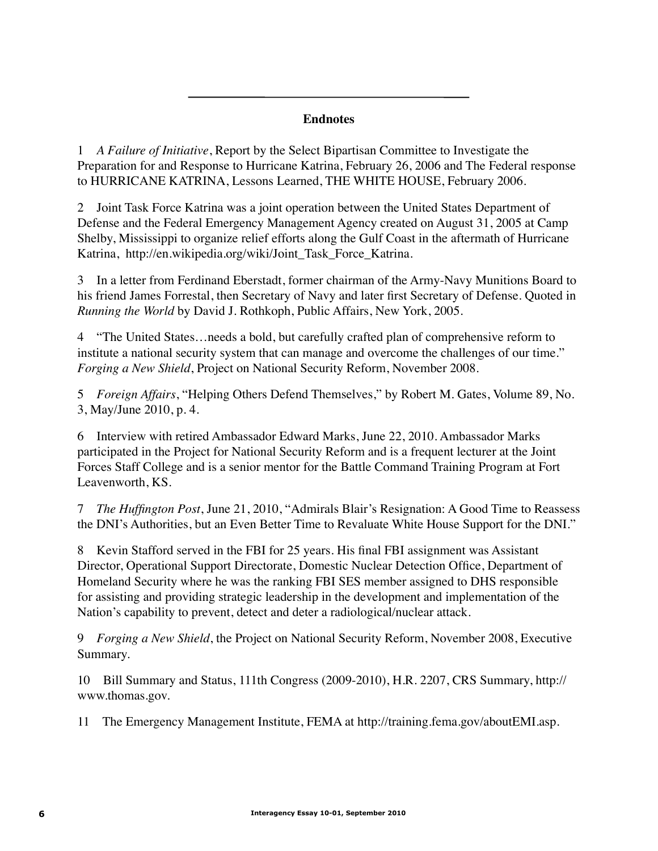# **Endnotes**

1 *A Failure of Initiative*, Report by the Select Bipartisan Committee to Investigate the Preparation for and Response to Hurricane Katrina, February 26, 2006 and The Federal response to HURRICANE KATRINA, Lessons Learned, THE WHITE HOUSE, February 2006.

2 Joint Task Force Katrina was a joint operation between the United States Department of Defense and the Federal Emergency Management Agency created on August 31, 2005 at Camp Shelby, Mississippi to organize relief efforts along the Gulf Coast in the aftermath of Hurricane Katrina, http://en.wikipedia.org/wiki/Joint\_Task\_Force\_Katrina.

3 In a letter from Ferdinand Eberstadt, former chairman of the Army-Navy Munitions Board to his friend James Forrestal, then Secretary of Navy and later first Secretary of Defense. Quoted in *Running the World* by David J. Rothkoph, Public Affairs, New York, 2005.

4 "The United States…needs a bold, but carefully crafted plan of comprehensive reform to institute a national security system that can manage and overcome the challenges of our time." *Forging a New Shield*, Project on National Security Reform, November 2008.

5 *Foreign Affairs*, "Helping Others Defend Themselves," by Robert M. Gates, Volume 89, No. 3, May/June 2010, p. 4.

6 Interview with retired Ambassador Edward Marks, June 22, 2010. Ambassador Marks participated in the Project for National Security Reform and is a frequent lecturer at the Joint Forces Staff College and is a senior mentor for the Battle Command Training Program at Fort Leavenworth, KS.

7 *The Huffington Post*, June 21, 2010, "Admirals Blair's Resignation: A Good Time to Reassess the DNI's Authorities, but an Even Better Time to Revaluate White House Support for the DNI."

8 Kevin Stafford served in the FBI for 25 years. His final FBI assignment was Assistant Director, Operational Support Directorate, Domestic Nuclear Detection Office, Department of Homeland Security where he was the ranking FBI SES member assigned to DHS responsible for assisting and providing strategic leadership in the development and implementation of the Nation's capability to prevent, detect and deter a radiological/nuclear attack.

9 *Forging a New Shield*, the Project on National Security Reform, November 2008, Executive Summary.

10 Bill Summary and Status, 111th Congress (2009-2010), H.R. 2207, CRS Summary, http:// www.thomas.gov.

11 The Emergency Management Institute, FEMA at http://training.fema.gov/aboutEMI.asp.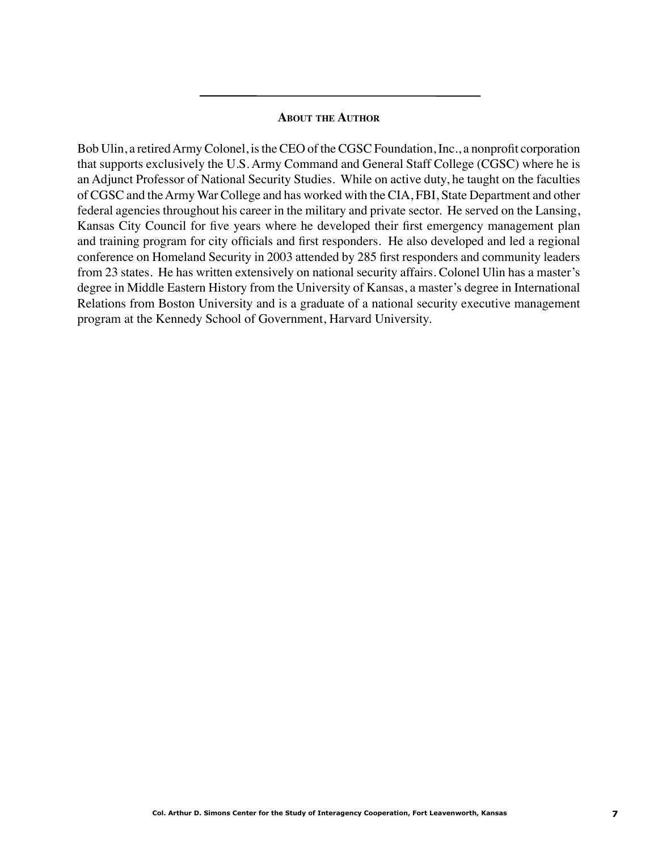## **About the Author**

Bob Ulin, a retired Army Colonel, is the CEO of the CGSC Foundation, Inc., a nonprofit corporation that supports exclusively the U.S. Army Command and General Staff College (CGSC) where he is an Adjunct Professor of National Security Studies. While on active duty, he taught on the faculties of CGSC and the Army War College and has worked with the CIA, FBI, State Department and other federal agencies throughout his career in the military and private sector. He served on the Lansing, Kansas City Council for five years where he developed their first emergency management plan and training program for city officials and first responders. He also developed and led a regional conference on Homeland Security in 2003 attended by 285 first responders and community leaders from 23 states. He has written extensively on national security affairs. Colonel Ulin has a master's degree in Middle Eastern History from the University of Kansas, a master's degree in International Relations from Boston University and is a graduate of a national security executive management program at the Kennedy School of Government, Harvard University.